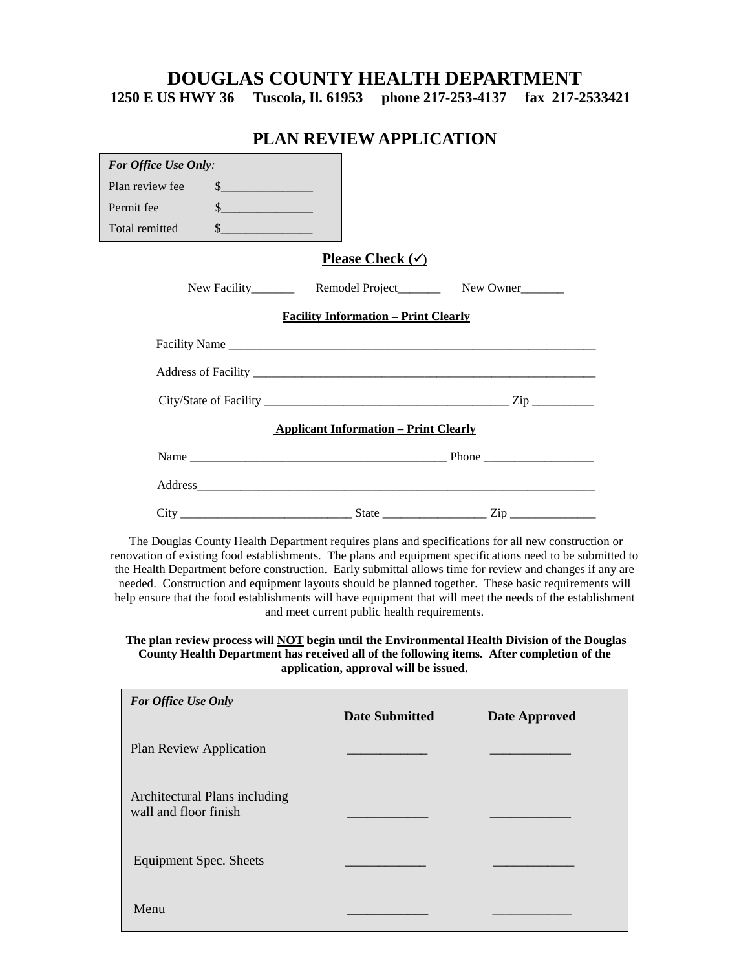# **DOUGLAS COUNTY HEALTH DEPARTMENT**

**1250 E US HWY 36 Tuscola, Il. 61953 phone 217-253-4137 fax 217-2533421**

# **PLAN REVIEW APPLICATION**

| For Office Use Only:                         |               |                             |                             |  |  |
|----------------------------------------------|---------------|-----------------------------|-----------------------------|--|--|
| Plan review fee                              | s             |                             |                             |  |  |
| Permit fee                                   | $\frac{1}{2}$ |                             |                             |  |  |
| Total remitted                               | $\frac{1}{2}$ |                             |                             |  |  |
|                                              |               | Please Check $(\checkmark)$ |                             |  |  |
|                                              |               |                             |                             |  |  |
| <b>Facility Information - Print Clearly</b>  |               |                             |                             |  |  |
|                                              |               |                             |                             |  |  |
|                                              |               |                             |                             |  |  |
|                                              |               |                             |                             |  |  |
| <b>Applicant Information – Print Clearly</b> |               |                             |                             |  |  |
|                                              |               |                             |                             |  |  |
|                                              |               |                             |                             |  |  |
|                                              |               |                             | $\mathop{\rm Zip}\nolimits$ |  |  |

The Douglas County Health Department requires plans and specifications for all new construction or renovation of existing food establishments. The plans and equipment specifications need to be submitted to the Health Department before construction. Early submittal allows time for review and changes if any are needed. Construction and equipment layouts should be planned together. These basic requirements will help ensure that the food establishments will have equipment that will meet the needs of the establishment and meet current public health requirements.

**The plan review process will NOT begin until the Environmental Health Division of the Douglas County Health Department has received all of the following items. After completion of the application, approval will be issued.**

| <b>For Office Use Only</b>                             | <b>Date Submitted</b> | <b>Date Approved</b> |
|--------------------------------------------------------|-----------------------|----------------------|
| Plan Review Application                                |                       |                      |
| Architectural Plans including<br>wall and floor finish |                       |                      |
| <b>Equipment Spec. Sheets</b>                          |                       |                      |
| Menu                                                   |                       |                      |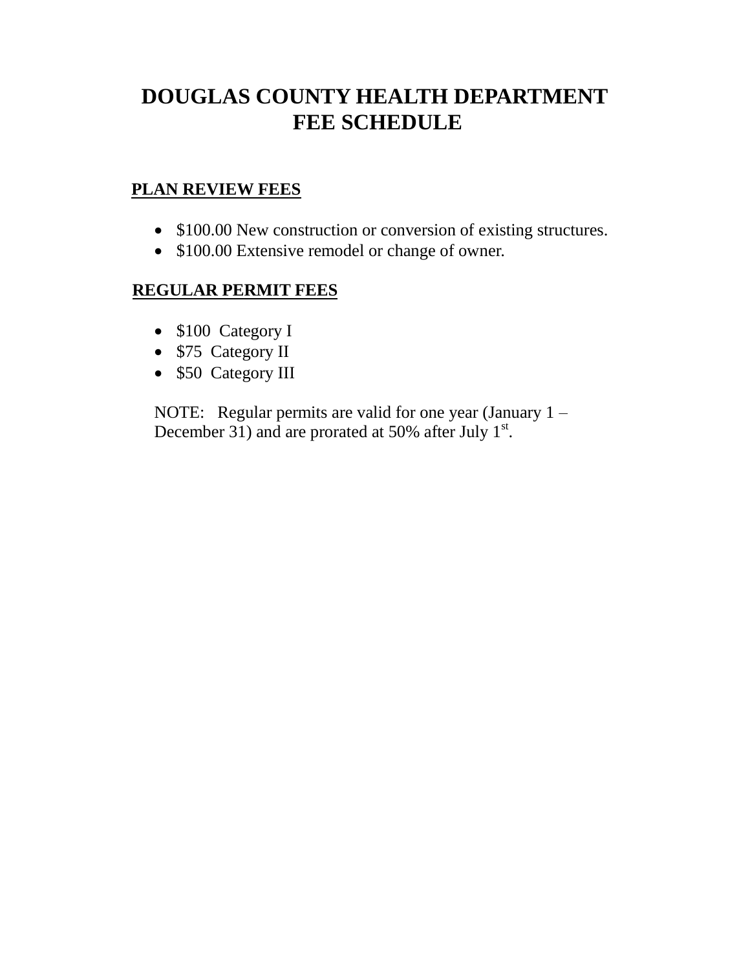# **DOUGLAS COUNTY HEALTH DEPARTMENT FEE SCHEDULE**

# **PLAN REVIEW FEES**

- \$100.00 New construction or conversion of existing structures.
- \$100.00 Extensive remodel or change of owner.

# **REGULAR PERMIT FEES**

- \$100 Category I
- \$75 Category II
- \$50 Category III

NOTE: Regular permits are valid for one year (January 1 – December 31) and are prorated at 50% after July  $1<sup>st</sup>$ .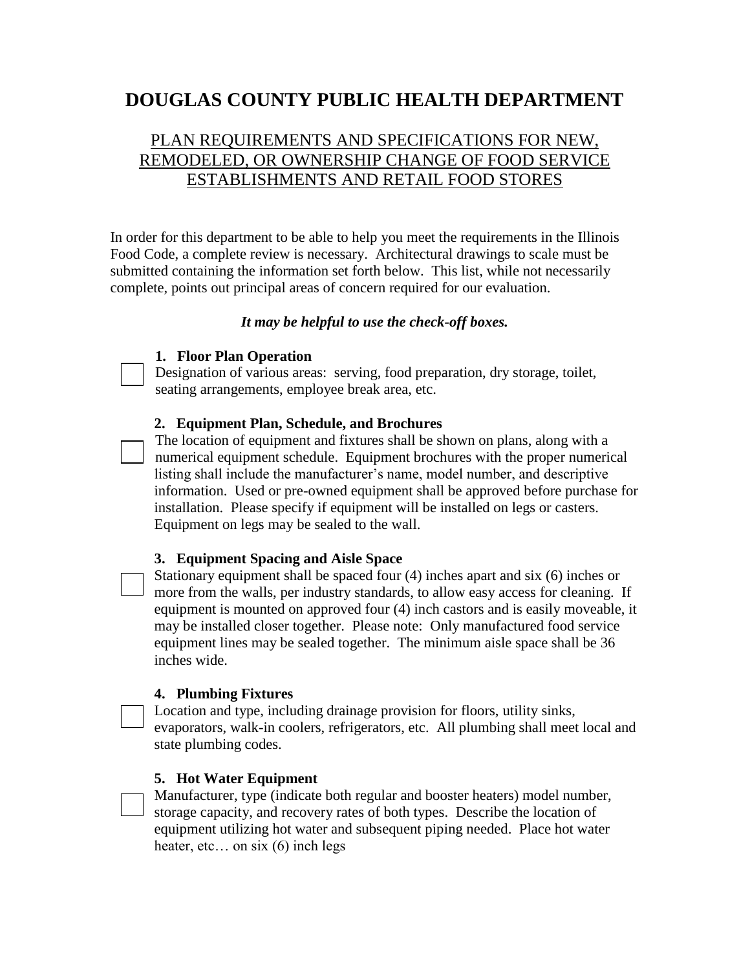# **DOUGLAS COUNTY PUBLIC HEALTH DEPARTMENT**

# PLAN REQUIREMENTS AND SPECIFICATIONS FOR NEW, REMODELED, OR OWNERSHIP CHANGE OF FOOD SERVICE ESTABLISHMENTS AND RETAIL FOOD STORES

In order for this department to be able to help you meet the requirements in the Illinois Food Code, a complete review is necessary. Architectural drawings to scale must be submitted containing the information set forth below. This list, while not necessarily complete, points out principal areas of concern required for our evaluation.

### *It may be helpful to use the check-off boxes.*

#### **1. Floor Plan Operation**

Designation of various areas: serving, food preparation, dry storage, toilet, seating arrangements, employee break area, etc.

#### **2. Equipment Plan, Schedule, and Brochures**

The location of equipment and fixtures shall be shown on plans, along with a numerical equipment schedule. Equipment brochures with the proper numerical listing shall include the manufacturer's name, model number, and descriptive information. Used or pre-owned equipment shall be approved before purchase for installation. Please specify if equipment will be installed on legs or casters. Equipment on legs may be sealed to the wall.

#### **3. Equipment Spacing and Aisle Space**

Stationary equipment shall be spaced four (4) inches apart and six (6) inches or more from the walls, per industry standards, to allow easy access for cleaning. If equipment is mounted on approved four (4) inch castors and is easily moveable, it may be installed closer together. Please note: Only manufactured food service equipment lines may be sealed together. The minimum aisle space shall be 36 inches wide.

### **4. Plumbing Fixtures**

Location and type, including drainage provision for floors, utility sinks, evaporators, walk-in coolers, refrigerators, etc. All plumbing shall meet local and state plumbing codes.

#### **5. Hot Water Equipment**

Manufacturer, type (indicate both regular and booster heaters) model number, storage capacity, and recovery rates of both types. Describe the location of equipment utilizing hot water and subsequent piping needed. Place hot water heater, etc... on six (6) inch legs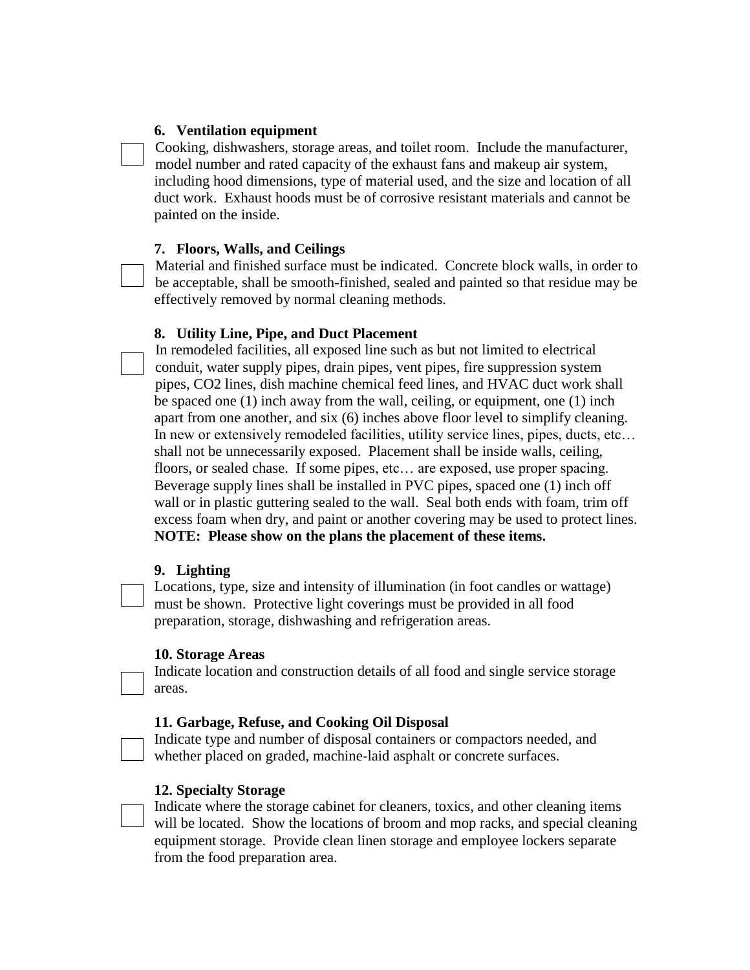#### **6. Ventilation equipment**

Cooking, dishwashers, storage areas, and toilet room. Include the manufacturer, model number and rated capacity of the exhaust fans and makeup air system, including hood dimensions, type of material used, and the size and location of all duct work. Exhaust hoods must be of corrosive resistant materials and cannot be painted on the inside.

#### **7. Floors, Walls, and Ceilings**

Material and finished surface must be indicated. Concrete block walls, in order to be acceptable, shall be smooth-finished, sealed and painted so that residue may be effectively removed by normal cleaning methods.

#### **8. Utility Line, Pipe, and Duct Placement**

In remodeled facilities, all exposed line such as but not limited to electrical conduit, water supply pipes, drain pipes, vent pipes, fire suppression system pipes, CO2 lines, dish machine chemical feed lines, and HVAC duct work shall be spaced one (1) inch away from the wall, ceiling, or equipment, one (1) inch apart from one another, and six (6) inches above floor level to simplify cleaning. In new or extensively remodeled facilities, utility service lines, pipes, ducts, etc… shall not be unnecessarily exposed. Placement shall be inside walls, ceiling, floors, or sealed chase. If some pipes, etc... are exposed, use proper spacing. Beverage supply lines shall be installed in PVC pipes, spaced one (1) inch off wall or in plastic guttering sealed to the wall. Seal both ends with foam, trim off excess foam when dry, and paint or another covering may be used to protect lines. **NOTE: Please show on the plans the placement of these items.**

#### **9. Lighting**

Locations, type, size and intensity of illumination (in foot candles or wattage) must be shown. Protective light coverings must be provided in all food preparation, storage, dishwashing and refrigeration areas.

#### **10. Storage Areas**

Indicate location and construction details of all food and single service storage areas.

#### **11. Garbage, Refuse, and Cooking Oil Disposal**

Indicate type and number of disposal containers or compactors needed, and whether placed on graded, machine-laid asphalt or concrete surfaces.

#### **12. Specialty Storage**

Indicate where the storage cabinet for cleaners, toxics, and other cleaning items will be located. Show the locations of broom and mop racks, and special cleaning equipment storage. Provide clean linen storage and employee lockers separate from the food preparation area.